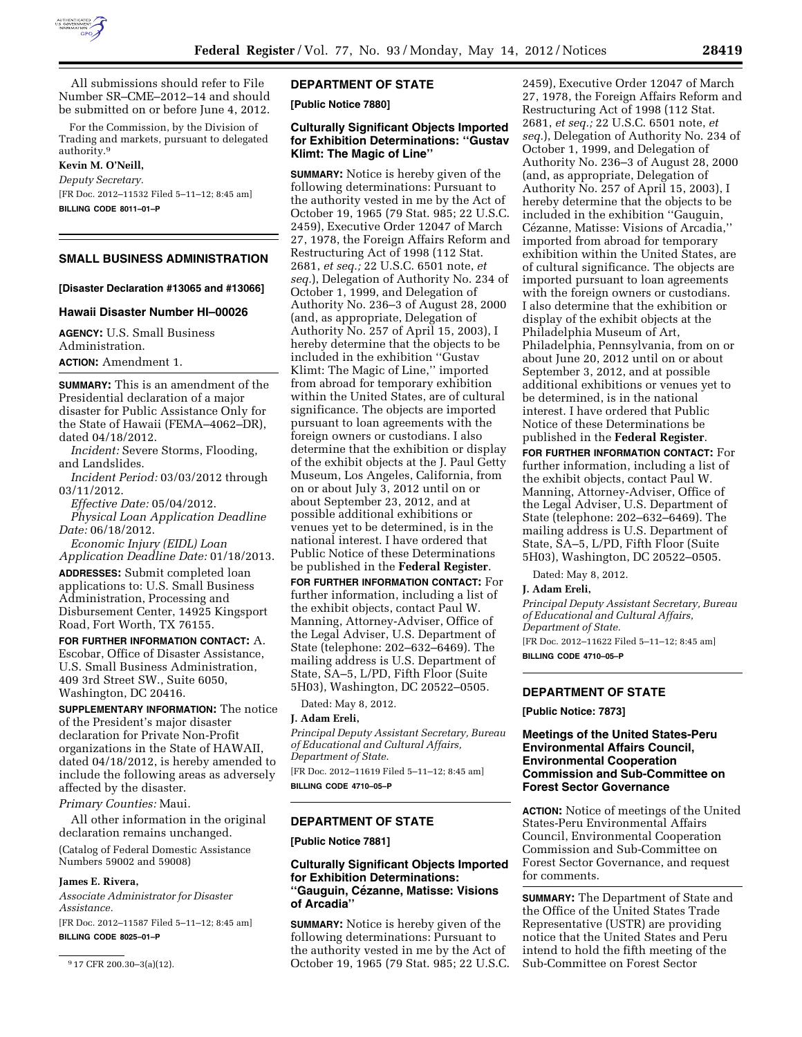

All submissions should refer to File Number SR–CME–2012–14 and should be submitted on or before June 4, 2012.

For the Commission, by the Division of Trading and markets, pursuant to delegated authority.9

#### **Kevin M. O'Neill,**

*Deputy Secretary.*  [FR Doc. 2012–11532 Filed 5–11–12; 8:45 am] **BILLING CODE 8011–01–P** 

## **SMALL BUSINESS ADMINISTRATION**

#### **[Disaster Declaration #13065 and #13066]**

## **Hawaii Disaster Number HI–00026**

**AGENCY:** U.S. Small Business Administration.

**ACTION:** Amendment 1.

**SUMMARY:** This is an amendment of the Presidential declaration of a major disaster for Public Assistance Only for the State of Hawaii (FEMA–4062–DR), dated 04/18/2012.

*Incident:* Severe Storms, Flooding, and Landslides.

*Incident Period:* 03/03/2012 through 03/11/2012.

*Effective Date:* 05/04/2012.

*Physical Loan Application Deadline Date:* 06/18/2012.

*Economic Injury (EIDL) Loan Application Deadline Date:* 01/18/2013.

**ADDRESSES:** Submit completed loan applications to: U.S. Small Business Administration, Processing and Disbursement Center, 14925 Kingsport Road, Fort Worth, TX 76155.

**FOR FURTHER INFORMATION CONTACT:** A. Escobar, Office of Disaster Assistance, U.S. Small Business Administration, 409 3rd Street SW., Suite 6050, Washington, DC 20416.

**SUPPLEMENTARY INFORMATION:** The notice of the President's major disaster declaration for Private Non-Profit organizations in the State of HAWAII, dated 04/18/2012, is hereby amended to include the following areas as adversely affected by the disaster.

#### *Primary Counties:* Maui.

All other information in the original declaration remains unchanged.

(Catalog of Federal Domestic Assistance Numbers 59002 and 59008)

#### **James E. Rivera,**

*Associate Administrator for Disaster Assistance.* 

[FR Doc. 2012–11587 Filed 5–11–12; 8:45 am] **BILLING CODE 8025–01–P** 

## **DEPARTMENT OF STATE**

**[Public Notice 7880]** 

## **Culturally Significant Objects Imported for Exhibition Determinations: ''Gustav Klimt: The Magic of Line''**

**SUMMARY:** Notice is hereby given of the following determinations: Pursuant to the authority vested in me by the Act of October 19, 1965 (79 Stat. 985; 22 U.S.C. 2459), Executive Order 12047 of March 27, 1978, the Foreign Affairs Reform and Restructuring Act of 1998 (112 Stat. 2681, *et seq.;* 22 U.S.C. 6501 note, *et seq.*), Delegation of Authority No. 234 of October 1, 1999, and Delegation of Authority No. 236–3 of August 28, 2000 (and, as appropriate, Delegation of Authority No. 257 of April 15, 2003), I hereby determine that the objects to be included in the exhibition ''Gustav Klimt: The Magic of Line,'' imported from abroad for temporary exhibition within the United States, are of cultural significance. The objects are imported pursuant to loan agreements with the foreign owners or custodians. I also determine that the exhibition or display of the exhibit objects at the J. Paul Getty Museum, Los Angeles, California, from on or about July 3, 2012 until on or about September 23, 2012, and at possible additional exhibitions or venues yet to be determined, is in the national interest. I have ordered that Public Notice of these Determinations be published in the **Federal Register**.

**FOR FURTHER INFORMATION CONTACT:** For further information, including a list of the exhibit objects, contact Paul W. Manning, Attorney-Adviser, Office of the Legal Adviser, U.S. Department of State (telephone: 202–632–6469). The mailing address is U.S. Department of State, SA–5, L/PD, Fifth Floor (Suite 5H03), Washington, DC 20522–0505.

Dated: May 8, 2012.

# **J. Adam Ereli,**

*Principal Deputy Assistant Secretary, Bureau of Educational and Cultural Affairs, Department of State.*  [FR Doc. 2012–11619 Filed 5–11–12; 8:45 am]

**BILLING CODE 4710–05–P** 

## **DEPARTMENT OF STATE**

**[Public Notice 7881]** 

## **Culturally Significant Objects Imported for Exhibition Determinations: ''Gauguin, Ce´zanne, Matisse: Visions of Arcadia''**

**SUMMARY:** Notice is hereby given of the following determinations: Pursuant to the authority vested in me by the Act of October 19, 1965 (79 Stat. 985; 22 U.S.C.

2459), Executive Order 12047 of March 27, 1978, the Foreign Affairs Reform and Restructuring Act of 1998 (112 Stat. 2681, *et seq.;* 22 U.S.C. 6501 note, *et seq.*), Delegation of Authority No. 234 of October 1, 1999, and Delegation of Authority No. 236–3 of August 28, 2000 (and, as appropriate, Delegation of Authority No. 257 of April 15, 2003), I hereby determine that the objects to be included in the exhibition ''Gauguin, Cézanne, Matisse: Visions of Arcadia," imported from abroad for temporary exhibition within the United States, are of cultural significance. The objects are imported pursuant to loan agreements with the foreign owners or custodians. I also determine that the exhibition or display of the exhibit objects at the Philadelphia Museum of Art, Philadelphia, Pennsylvania, from on or about June 20, 2012 until on or about September 3, 2012, and at possible additional exhibitions or venues yet to be determined, is in the national interest. I have ordered that Public Notice of these Determinations be published in the **Federal Register**.

**FOR FURTHER INFORMATION CONTACT:** For further information, including a list of the exhibit objects, contact Paul W. Manning, Attorney-Adviser, Office of the Legal Adviser, U.S. Department of State (telephone: 202–632–6469). The mailing address is U.S. Department of State, SA–5, L/PD, Fifth Floor (Suite 5H03), Washington, DC 20522–0505.

Dated: May 8, 2012.

#### **J. Adam Ereli,**

*Principal Deputy Assistant Secretary, Bureau of Educational and Cultural Affairs, Department of State.* 

[FR Doc. 2012–11622 Filed 5–11–12; 8:45 am] **BILLING CODE 4710–05–P** 

# **DEPARTMENT OF STATE**

**[Public Notice: 7873]** 

## **Meetings of the United States-Peru Environmental Affairs Council, Environmental Cooperation Commission and Sub-Committee on Forest Sector Governance**

**ACTION:** Notice of meetings of the United States-Peru Environmental Affairs Council, Environmental Cooperation Commission and Sub-Committee on Forest Sector Governance, and request for comments.

**SUMMARY:** The Department of State and the Office of the United States Trade Representative (USTR) are providing notice that the United States and Peru intend to hold the fifth meeting of the Sub-Committee on Forest Sector

<sup>9</sup> 17 CFR 200.30–3(a)(12).